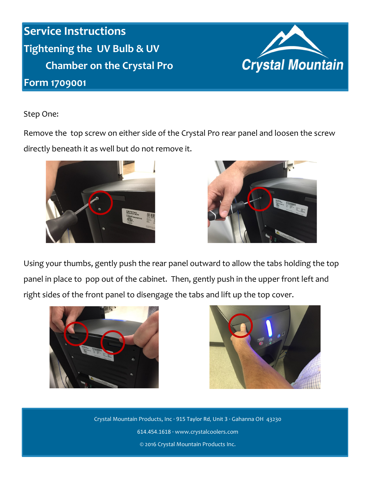**Service Instructions Tightening the UV Bulb & UV Chamber on the Crystal Pro**

## **Form 1709001**



Step One:

Remove the top screw on either side of the Crystal Pro rear panel and loosen the screw directly beneath it as well but do not remove it.





Using your thumbs, gently push the rear panel outward to allow the tabs holding the top panel in place to pop out of the cabinet. Then, gently push in the upper front left and right sides of the front panel to disengage the tabs and lift up the top cover.





Crystal Mountain Products, Inc · 915 Taylor Rd, Unit 3 · Gahanna OH 43230 614.454.1618 · www.crystalcoolers.com © 2016 Crystal Mountain Products Inc.